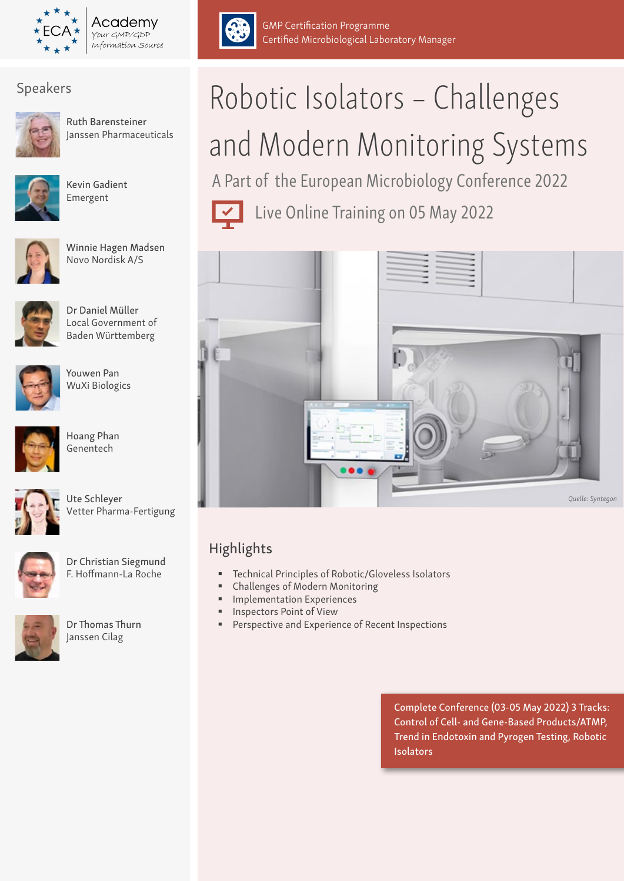

Academv Your GMP/GDP Information Source



Ruth Barensteiner Janssen Pharmaceuticals



Kevin Gadient Emergent



Winnie Hagen Madsen Novo Nordisk A/S



Dr Daniel Müller Local Government of Baden Württemberg



Youwen Pan WuXi Biologics



Hoang Phan Genentech



Ute Schleyer Vetter Pharma-Fertigung



Dr Christian Siegmund F. Hoffmann-La Roche



Dr Thomas Thurn Janssen Cilag



# and Modern Monitoring Systems

A Part of the European Microbiology Conference 2022

Live Online Training on 05 May 2022

Certified Microbiological Laboratory Manager

GMP Certification Programme



### Highlights

- Technical Principles of Robotic/Gloveless Isolators
- Challenges of Modern Monitoring
- Implementation Experiences
- Inspectors Point of View
- **Perspective and Experience of Recent Inspections**

Complete Conference (03-05 May 2022) 3 Tracks: Control of Cell- and Gene-Based Products/ATMP, Trend in Endotoxin and Pyrogen Testing, Robotic Isolators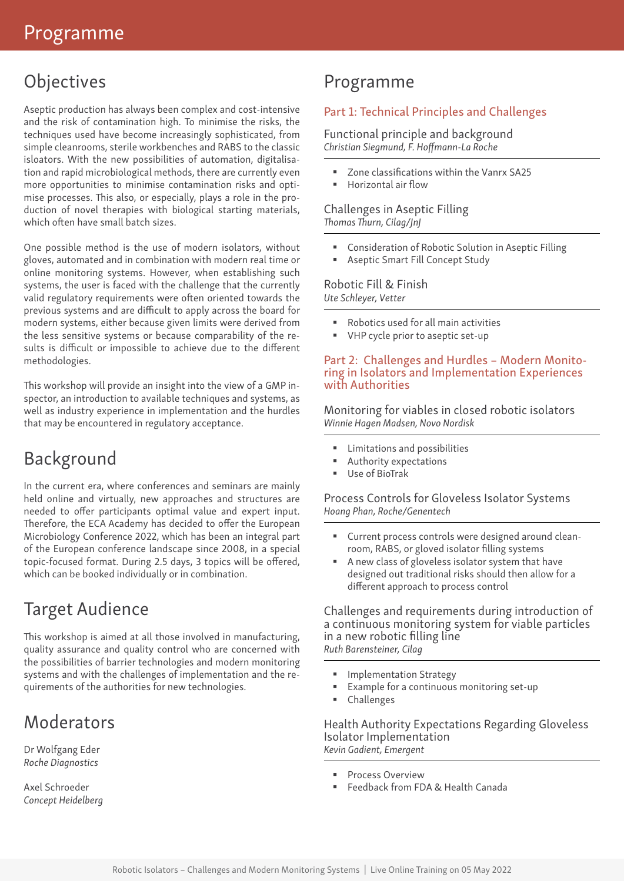## **Objectives**

Aseptic production has always been complex and cost-intensive and the risk of contamination high. To minimise the risks, the techniques used have become increasingly sophisticated, from simple cleanrooms, sterile workbenches and RABS to the classic isloators. With the new possibilities of automation, digitalisation and rapid microbiological methods, there are currently even more opportunities to minimise contamination risks and optimise processes. This also, or especially, plays a role in the production of novel therapies with biological starting materials, which often have small batch sizes.

One possible method is the use of modern isolators, without gloves, automated and in combination with modern real time or online monitoring systems. However, when establishing such systems, the user is faced with the challenge that the currently valid regulatory requirements were often oriented towards the previous systems and are difficult to apply across the board for modern systems, either because given limits were derived from the less sensitive systems or because comparability of the results is difficult or impossible to achieve due to the different methodologies.

This workshop will provide an insight into the view of a GMP inspector, an introduction to available techniques and systems, as well as industry experience in implementation and the hurdles that may be encountered in regulatory acceptance.

### Background

In the current era, where conferences and seminars are mainly held online and virtually, new approaches and structures are needed to offer participants optimal value and expert input. Therefore, the ECA Academy has decided to offer the European Microbiology Conference 2022, which has been an integral part of the European conference landscape since 2008, in a special topic-focused format. During 2.5 days, 3 topics will be offered, which can be booked individually or in combination.

### Target Audience

This workshop is aimed at all those involved in manufacturing, quality assurance and quality control who are concerned with the possibilities of barrier technologies and modern monitoring systems and with the challenges of implementation and the requirements of the authorities for new technologies.

### **Moderators**

Dr Wolfgang Eder *Roche Diagnostics*

Axel Schroeder *Concept Heidelberg*

### Programme

### Part 1: Technical Principles and Challenges

Functional principle and background *Christian Siegmund, F. Hoffmann-La Roche*

- Zone classifications within the Vanrx SA25
- Horizontal air flow

### Challenges in Aseptic Filling *Thomas Thurn, Cilag/JnJ*

- Consideration of Robotic Solution in Aseptic Filling
- Aseptic Smart Fill Concept Study

#### Robotic Fill & Finish *Ute Schleyer, Vetter*

- Robotics used for all main activities
- VHP cycle prior to aseptic set-up

### Part 2: Challenges and Hurdles – Modern Monitoring in Isolators and Implementation Experiences with Authorities

Monitoring for viables in closed robotic isolators *Winnie Hagen Madsen, Novo Nordisk*

- Limitations and possibilities
- Authority expectations
- Use of BioTrak

### Process Controls for Gloveless Isolator Systems *Hoang Phan, Roche/Genentech*

- Current process controls were designed around cleanroom, RABS, or gloved isolator filling systems
- A new class of gloveless isolator system that have designed out traditional risks should then allow for a different approach to process control

Challenges and requirements during introduction of a continuous monitoring system for viable particles in a new robotic filling line *Ruth Barensteiner, Cilag*

- **Implementation Strategy**
- Example for a continuous monitoring set-up
- Challenges

Health Authority Expectations Regarding Gloveless Isolator Implementation *Kevin Gadient, Emergent*

- **Process Overview**
- Feedback from FDA & Health Canada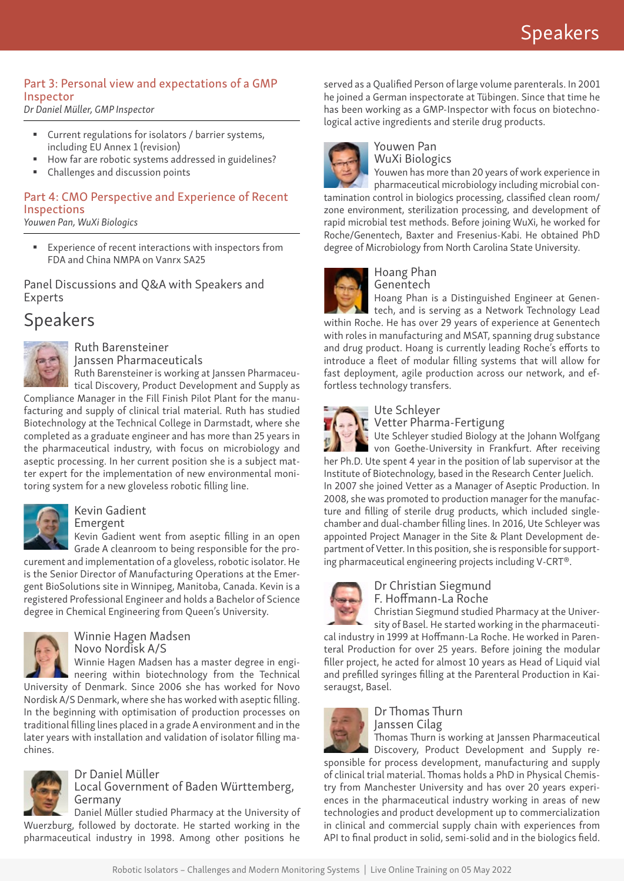### Part 3: Personal view and expectations of a GMP Inspector

*Dr Daniel Müller, GMP Inspector*

- Current regulations for isolators / barrier systems, including EU Annex 1 (revision)
- How far are robotic systems addressed in guidelines?
- Challenges and discussion points

### Part 4: CMO Perspective and Experience of Recent Inspections

*Youwen Pan, WuXi Biologics*

 Experience of recent interactions with inspectors from FDA and China NMPA on Vanrx SA25

Panel Discussions and Q&A with Speakers and Experts

### Speakers



Ruth Barensteiner Janssen Pharmaceuticals

Ruth Barensteiner is working at Janssen Pharmaceutical Discovery, Product Development and Supply as Compliance Manager in the Fill Finish Pilot Plant for the manufacturing and supply of clinical trial material. Ruth has studied Biotechnology at the Technical College in Darmstadt, where she completed as a graduate engineer and has more than 25 years in the pharmaceutical industry, with focus on microbiology and aseptic processing. In her current position she is a subject mat-

ter expert for the implementation of new environmental monitoring system for a new gloveless robotic filling line.



### Kevin Gadient

Emergent

Kevin Gadient went from aseptic filling in an open Grade A cleanroom to being responsible for the procurement and implementation of a gloveless, robotic isolator. He is the Senior Director of Manufacturing Operations at the Emergent BioSolutions site in Winnipeg, Manitoba, Canada. Kevin is a registered Professional Engineer and holds a Bachelor of Science



### Winnie Hagen Madsen Novo Nordisk A/S

degree in Chemical Engineering from Queen's University.

Winnie Hagen Madsen has a master degree in engineering within biotechnology from the Technical

University of Denmark. Since 2006 she has worked for Novo Nordisk A/S Denmark, where she has worked with aseptic filling. In the beginning with optimisation of production processes on traditional filling lines placed in a grade A environment and in the later years with installation and validation of isolator filling machines.



## Dr Daniel Müller

Local Government of Baden Württemberg, Germany

Daniel Müller studied Pharmacy at the University of Wuerzburg, followed by doctorate. He started working in the pharmaceutical industry in 1998. Among other positions he

served as a Qualified Person of large volume parenterals. In 2001 he joined a German inspectorate at Tübingen. Since that time he has been working as a GMP-Inspector with focus on biotechnological active ingredients and sterile drug products.



#### Youwen Pan WuXi Biologics

Youwen has more than 20 years of work experience in pharmaceutical microbiology including microbial contamination control in biologics processing, classified clean room/ zone environment, sterilization processing, and development of rapid microbial test methods. Before joining WuXi, he worked for Roche/Genentech, Baxter and Fresenius-Kabi. He obtained PhD degree of Microbiology from North Carolina State University.



#### Hoang Phan Genentech

Hoang Phan is a Distinguished Engineer at Genen-

tech, and is serving as a Network Technology Lead within Roche. He has over 29 years of experience at Genentech with roles in manufacturing and MSAT, spanning drug substance and drug product. Hoang is currently leading Roche's efforts to introduce a fleet of modular filling systems that will allow for fast deployment, agile production across our network, and effortless technology transfers.



#### Ute Schleyer **T** Vetter Pharma-Fertigung

Ute Schleyer studied Biology at the Johann Wolfgang **von Goethe-University in Frankfurt. After receiving** her Ph.D. Ute spent 4 year in the position of lab supervisor at the Institute of Biotechnology, based in the Research Center Juelich.

In 2007 she joined Vetter as a Manager of Aseptic Production. In 2008, she was promoted to production manager for the manufacture and filling of sterile drug products, which included singlechamber and dual-chamber filling lines. In 2016, Ute Schleyer was appointed Project Manager in the Site & Plant Development department of Vetter. In this position, she is responsible for supporting pharmaceutical engineering projects including V-CRT®.



### Dr Christian Siegmund F. Hoffmann-La Roche

Christian Siegmund studied Pharmacy at the University of Basel. He started working in the pharmaceuti-

cal industry in 1999 at Hoffmann-La Roche. He worked in Parenteral Production for over 25 years. Before joining the modular filler project, he acted for almost 10 years as Head of Liquid vial and prefilled syringes filling at the Parenteral Production in Kaiseraugst, Basel.



### Dr Thomas Thurn Janssen Cilag

Thomas Thurn is working at Janssen Pharmaceutical

Discovery, Product Development and Supply responsible for process development, manufacturing and supply of clinical trial material. Thomas holds a PhD in Physical Chemistry from Manchester University and has over 20 years experiences in the pharmaceutical industry working in areas of new technologies and product development up to commercialization in clinical and commercial supply chain with experiences from API to final product in solid, semi-solid and in the biologics field.